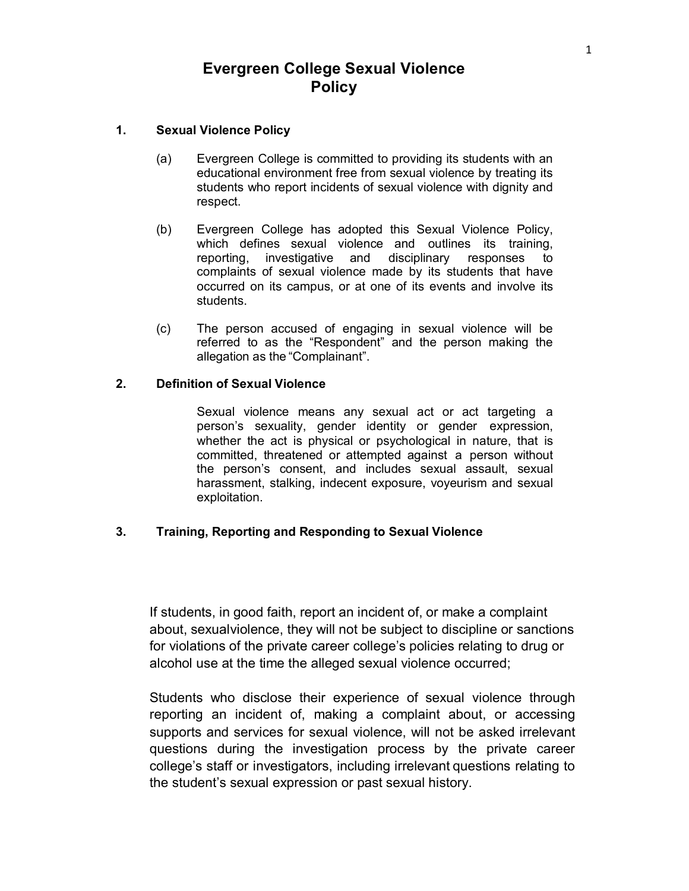# **Evergreen College Sexual Violence Policy**

# **1. Sexual Violence Policy**

- (a) Evergreen College is committed to providing its students with an educational environment free from sexual violence by treating its students who report incidents of sexual violence with dignity and respect.
- (b) Evergreen College has adopted this Sexual Violence Policy, which defines sexual violence and outlines its training, reporting, investigative and disciplinary responses to complaints of sexual violence made by its students that have occurred on its campus, or at one of its events and involve its students.
- (c) The person accused of engaging in sexual violence will be referred to as the "Respondent" and the person making the allegation as the "Complainant".

# **2. Definition of Sexual Violence**

Sexual violence means any sexual act or act targeting a person's sexuality, gender identity or gender expression, whether the act is physical or psychological in nature, that is committed, threatened or attempted against a person without the person's consent, and includes sexual assault, sexual harassment, stalking, indecent exposure, voyeurism and sexual exploitation.

#### **3. Training, Reporting and Responding to Sexual Violence**

If students, in good faith, report an incident of, or make a complaint about, sexualviolence, they will not be subject to discipline or sanctions for violations of the private career college's policies relating to drug or alcohol use at the time the alleged sexual violence occurred;

Students who disclose their experience of sexual violence through reporting an incident of, making a complaint about, or accessing supports and services for sexual violence, will not be asked irrelevant questions during the investigation process by the private career college's staff or investigators, including irrelevant questions relating to the student's sexual expression or past sexual history.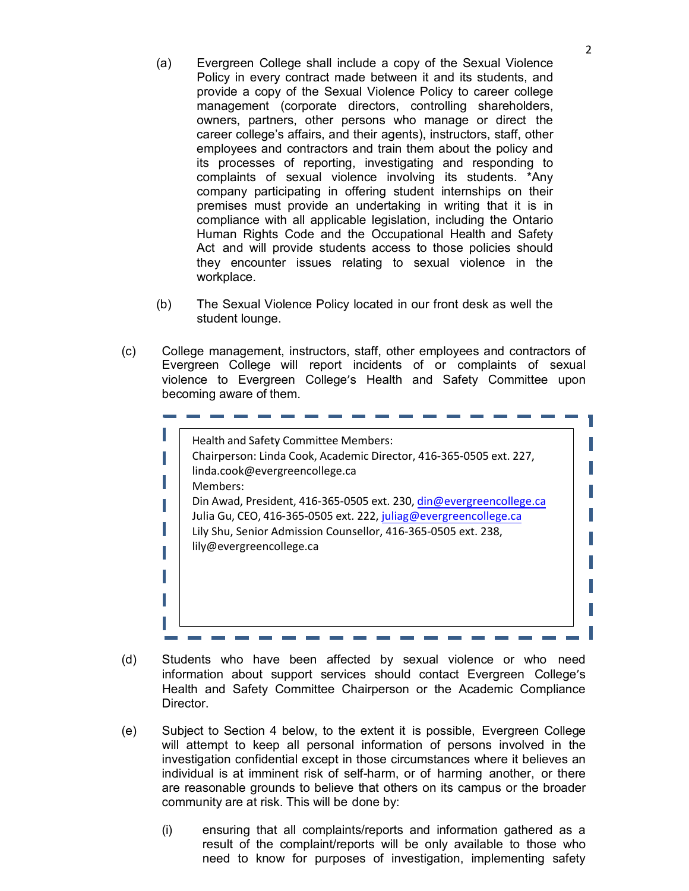- (a) Evergreen College shall include a copy of the Sexual Violence Policy in every contract made between it and its students, and provide a copy of the Sexual Violence Policy to career college management (corporate directors, controlling shareholders, owners, partners, other persons who manage or direct the career college's affairs, and their agents), instructors, staff, other employees and contractors and train them about the policy and its processes of reporting, investigating and responding to complaints of sexual violence involving its students. \*Any company participating in offering student internships on their premises must provide an undertaking in writing that it is in compliance with all applicable legislation, including the Ontario Human Rights Code and the Occupational Health and Safety Act and will provide students access to those policies should they encounter issues relating to sexual violence in the workplace.
- (b) The Sexual Violence Policy located in our front desk as well the student lounge.
- (c) College management, instructors, staff, other employees and contractors of Evergreen College will report incidents of or complaints of sexual violence to Evergreen College's Health and Safety Committee upon becoming aware of them.

| Health and Safety Committee Members:                                |
|---------------------------------------------------------------------|
| Chairperson: Linda Cook, Academic Director, 416-365-0505 ext. 227,  |
| linda.cook@evergreencollege.ca                                      |
| Members:                                                            |
| Din Awad, President, 416-365-0505 ext. 230, din@evergreencollege.ca |
| Julia Gu, CEO, 416-365-0505 ext. 222, juliag@evergreencollege.ca    |
| Lily Shu, Senior Admission Counsellor, 416-365-0505 ext. 238,       |
| lily@evergreencollege.ca                                            |
|                                                                     |
|                                                                     |
|                                                                     |
|                                                                     |
|                                                                     |

- (d) Students who have been affected by sexual violence or who need information about support services should contact Evergreen College's Health and Safety Committee Chairperson or the Academic Compliance Director.
- (e) Subject to Section 4 below, to the extent it is possible, Evergreen College will attempt to keep all personal information of persons involved in the investigation confidential except in those circumstances where it believes an individual is at imminent risk of self-harm, or of harming another, or there are reasonable grounds to believe that others on its campus or the broader community are at risk. This will be done by:
	- (i) ensuring that all complaints/reports and information gathered as a result of the complaint/reports will be only available to those who need to know for purposes of investigation, implementing safety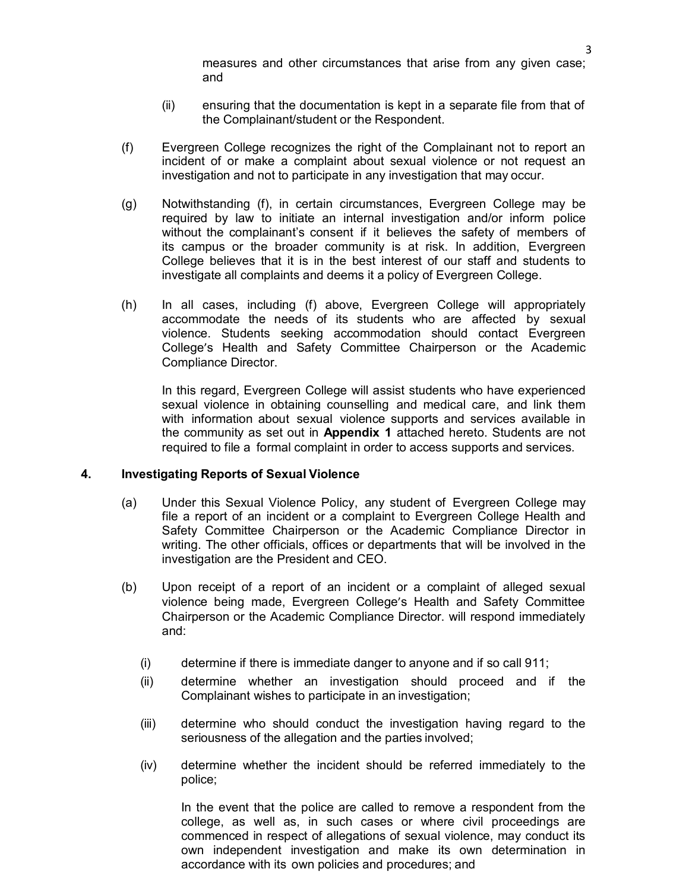measures and other circumstances that arise from any given case; and

- (ii) ensuring that the documentation is kept in a separate file from that of the Complainant/student or the Respondent.
- (f) Evergreen College recognizes the right of the Complainant not to report an incident of or make a complaint about sexual violence or not request an investigation and not to participate in any investigation that may occur.
- (g) Notwithstanding (f), in certain circumstances, Evergreen College may be required by law to initiate an internal investigation and/or inform police without the complainant's consent if it believes the safety of members of its campus or the broader community is at risk. In addition, Evergreen College believes that it is in the best interest of our staff and students to investigate all complaints and deems it a policy of Evergreen College.
- (h) In all cases, including (f) above, Evergreen College will appropriately accommodate the needs of its students who are affected by sexual violence. Students seeking accommodation should contact Evergreen College's Health and Safety Committee Chairperson or the Academic Compliance Director.

In this regard, Evergreen College will assist students who have experienced sexual violence in obtaining counselling and medical care, and link them with information about sexual violence supports and services available in the community as set out in **Appendix 1** attached hereto. Students are not required to file a formal complaint in order to access supports and services.

#### **4. Investigating Reports of Sexual Violence**

- (a) Under this Sexual Violence Policy, any student of Evergreen College may file a report of an incident or a complaint to Evergreen College Health and Safety Committee Chairperson or the Academic Compliance Director in writing. The other officials, offices or departments that will be involved in the investigation are the President and CEO.
- (b) Upon receipt of a report of an incident or a complaint of alleged sexual violence being made, Evergreen College's Health and Safety Committee Chairperson or the Academic Compliance Director. will respond immediately and:
	- (i) determine if there is immediate danger to anyone and if so call 911;
	- (ii) determine whether an investigation should proceed and if the Complainant wishes to participate in an investigation;
	- (iii) determine who should conduct the investigation having regard to the seriousness of the allegation and the parties involved;
	- (iv) determine whether the incident should be referred immediately to the police;

In the event that the police are called to remove a respondent from the college, as well as, in such cases or where civil proceedings are commenced in respect of allegations of sexual violence, may conduct its own independent investigation and make its own determination in accordance with its own policies and procedures; and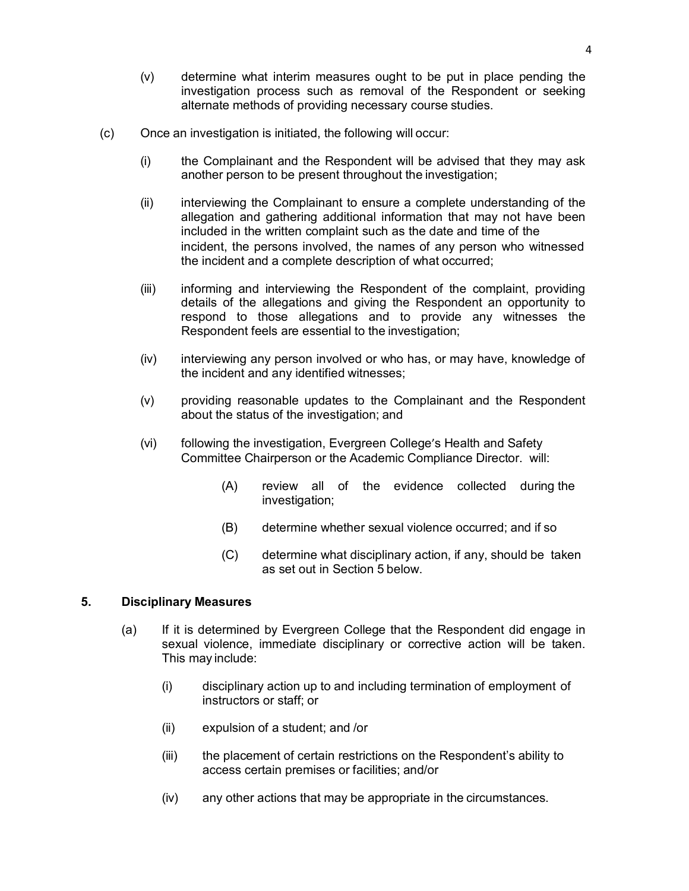- (v) determine what interim measures ought to be put in place pending the investigation process such as removal of the Respondent or seeking alternate methods of providing necessary course studies.
- (c) Once an investigation is initiated, the following will occur:
	- (i) the Complainant and the Respondent will be advised that they may ask another person to be present throughout the investigation;
	- (ii) interviewing the Complainant to ensure a complete understanding of the allegation and gathering additional information that may not have been included in the written complaint such as the date and time of the incident, the persons involved, the names of any person who witnessed the incident and a complete description of what occurred;
	- (iii) informing and interviewing the Respondent of the complaint, providing details of the allegations and giving the Respondent an opportunity to respond to those allegations and to provide any witnesses the Respondent feels are essential to the investigation;
	- (iv) interviewing any person involved or who has, or may have, knowledge of the incident and any identified witnesses;
	- (v) providing reasonable updates to the Complainant and the Respondent about the status of the investigation; and
	- (vi) following the investigation, Evergreen College's Health and Safety Committee Chairperson or the Academic Compliance Director. will:
		- (A) review all of the evidence collected during the investigation;
		- (B) determine whether sexual violence occurred; and if so
		- (C) determine what disciplinary action, if any, should be taken as set out in Section 5 below.

# **5. Disciplinary Measures**

- (a) If it is determined by Evergreen College that the Respondent did engage in sexual violence, immediate disciplinary or corrective action will be taken. This may include:
	- (i) disciplinary action up to and including termination of employment of instructors or staff; or
	- (ii) expulsion of a student; and /or
	- (iii) the placement of certain restrictions on the Respondent's ability to access certain premises or facilities; and/or
	- (iv) any other actions that may be appropriate in the circumstances.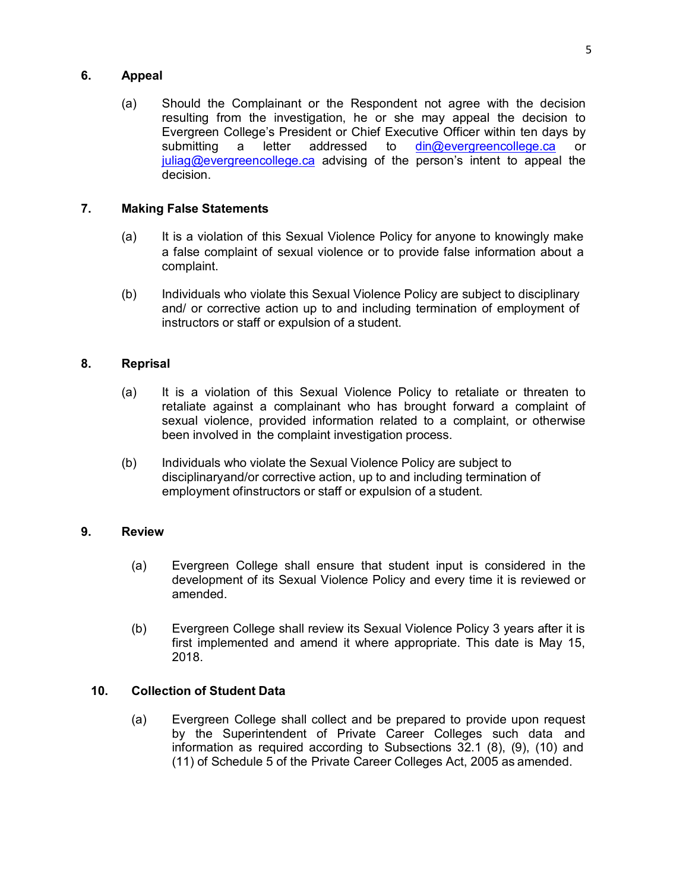# **6. Appeal**

(a) Should the Complainant or the Respondent not agree with the decision resulting from the investigation, he or she may appeal the decision to Evergreen College's President or Chief Executive Officer within ten days by submitting a letter addressed to din@evergreencollege.ca or juliag@evergreencollege.ca advising of the person's intent to appeal the decision.

# **7. Making False Statements**

- (a) It is a violation of this Sexual Violence Policy for anyone to knowingly make a false complaint of sexual violence or to provide false information about a complaint.
- (b) Individuals who violate this Sexual Violence Policy are subject to disciplinary and/ or corrective action up to and including termination of employment of instructors or staff or expulsion of a student.

# **8. Reprisal**

- (a) It is a violation of this Sexual Violence Policy to retaliate or threaten to retaliate against a complainant who has brought forward a complaint of sexual violence, provided information related to a complaint, or otherwise been involved in the complaint investigation process.
- (b) Individuals who violate the Sexual Violence Policy are subject to disciplinaryand/or corrective action, up to and including termination of employment ofinstructors or staff or expulsion of a student.

# **9. Review**

- (a) Evergreen College shall ensure that student input is considered in the development of its Sexual Violence Policy and every time it is reviewed or amended.
- (b) Evergreen College shall review its Sexual Violence Policy 3 years after it is first implemented and amend it where appropriate. This date is May 15, 2018.

#### **10. Collection of Student Data**

(a) Evergreen College shall collect and be prepared to provide upon request by the Superintendent of Private Career Colleges such data and information as required according to Subsections 32.1 (8), (9), (10) and (11) of Schedule 5 of the Private Career Colleges Act, 2005 as amended.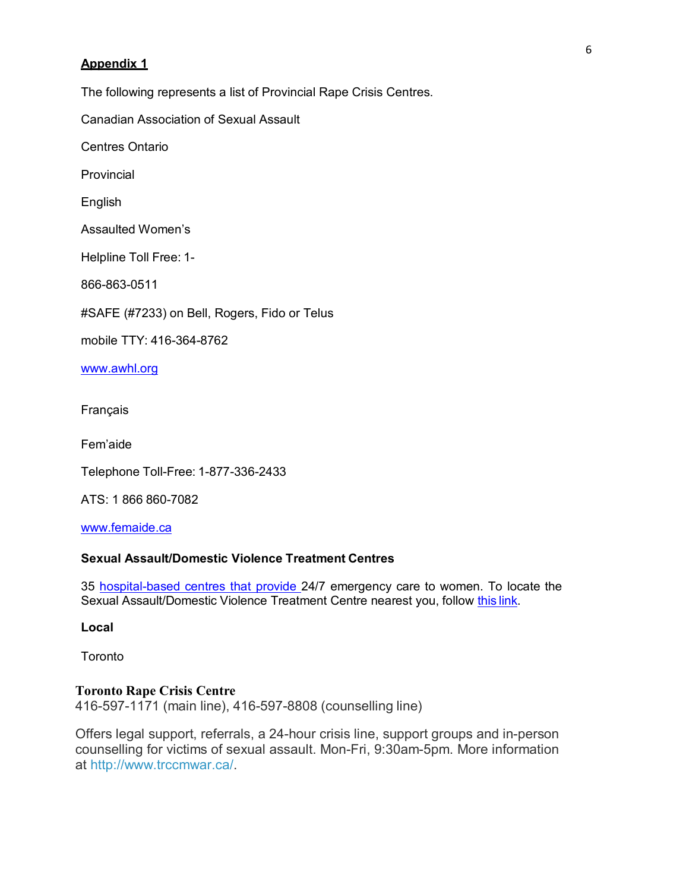### **Appendix 1**

The following represents a list of Provincial Rape Crisis Centres.

Canadian Association of Sexual Assault

Centres Ontario

**Provincial** 

English

Assaulted Women's

Helpline Toll Free: 1-

866-863-0511

#SAFE (#7233) on Bell, Rogers, Fido or Telus

mobile TTY: 416-364-8762

www.awhl.org

Français

Fem'aide

Telephone Toll-Free: 1-877-336-2433

ATS: 1 866 860-7082

www.femaide.ca

# **Sexual Assault/Domestic Violence Treatment Centres**

35 hospital-based centres that provide 24/7 emergency care to women. To locate the Sexual Assault/Domestic Violence Treatment Centre nearest you, follow this link.

**Local**

**Toronto** 

#### **Toronto Rape Crisis Centre**

416-597-1171 (main line), 416-597-8808 (counselling line)

Offers legal support, referrals, a 24-hour crisis line, support groups and in-person counselling for victims of sexual assault. Mon-Fri, 9:30am-5pm. More information at http://www.trccmwar.ca/.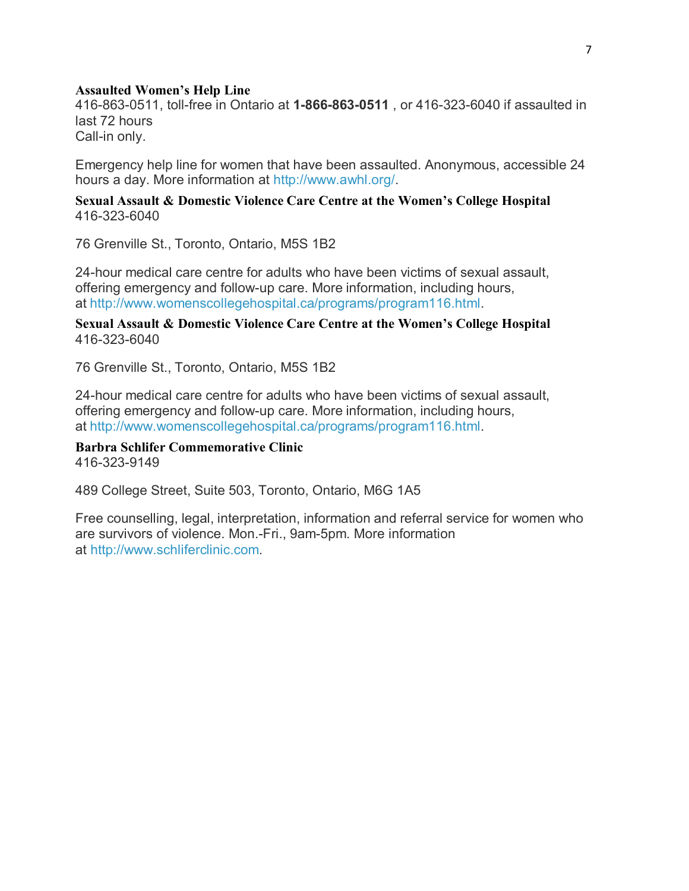#### **Assaulted Women's Help Line**

416-863-0511, toll-free in Ontario at **1-866-863-0511** , or 416-323-6040 if assaulted in last 72 hours Call-in only.

Emergency help line for women that have been assaulted. Anonymous, accessible 24 hours a day. More information at http://www.awhl.org/.

# **Sexual Assault & Domestic Violence Care Centre at the Women's College Hospital** 416-323-6040

76 Grenville St., Toronto, Ontario, M5S 1B2

24-hour medical care centre for adults who have been victims of sexual assault, offering emergency and follow-up care. More information, including hours, at http://www.womenscollegehospital.ca/programs/program116.html.

**Sexual Assault & Domestic Violence Care Centre at the Women's College Hospital** 416-323-6040

76 Grenville St., Toronto, Ontario, M5S 1B2

24-hour medical care centre for adults who have been victims of sexual assault, offering emergency and follow-up care. More information, including hours, at http://www.womenscollegehospital.ca/programs/program116.html.

**Barbra Schlifer Commemorative Clinic** 416-323-9149

489 College Street, Suite 503, Toronto, Ontario, M6G 1A5

Free counselling, legal, interpretation, information and referral service for women who are survivors of violence. Mon.-Fri., 9am-5pm. More information at http://www.schliferclinic.com.